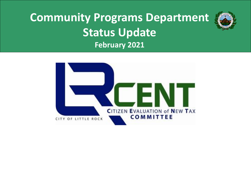

# **Community Programs Department Status Update February 2021**

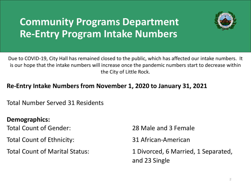# **Community Programs Department Re-Entry Program Intake Numbers**



Due to COVID-19, City Hall has remained closed to the public, which has affected our intake numbers. It is our hope that the intake numbers will increase once the pandemic numbers start to decrease within the City of Little Rock.

### **Re-Entry Intake Numbers from November 1, 2020 to January 31, 2021**

Total Number Served 31 Residents

**Demographics:** 

Total Count of Ethnicity: 31 African-American

Total Count of Gender: 28 Male and 3 Female

Total Count of Marital Status: 1 Divorced, 6 Married, 1 Separated, and 23 Single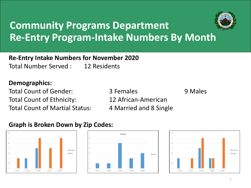

# **Community Programs Department Re-Entry Program-Intake Numbers By Month**

#### **Re-Entry Intake Numbers for November 2020** Total Number Served : 12 Residents

#### **Demographics:**

Total Count of Gender: Total Count of Gender: 3 Females Total Count of Ethnicity: 12 African-American Total Count of Martial Status: 4 Married and 8 Single



### **Graph is Broken Down by Zip Codes:**



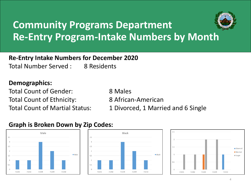

# **Community Programs Department Re-Entry Program-Intake Numbers by Month**

**Re-Entry Intake Numbers for December 2020**

Total Number Served : 8 Residents

#### **Demographics:**

Total Count of Gender: 8 Males Total Count of Ethnicity: 8 African-American

Total Count of Martial Status: 1 Divorced, 1 Married and 6 Single

### **Graph is Broken Down by Zip Codes:**





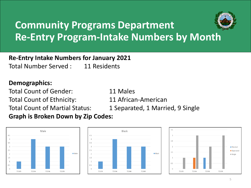

# **Community Programs Department Re-Entry Program-Intake Numbers by Month**

### **Re-Entry Intake Numbers for January 2021**

Total Number Served : 11 Residents

#### **Demographics:**

Total Count of Gender: 11 Males Total Count of Ethnicity: 11 African-American **Graph is Broken Down by Zip Codes:**

Total Count of Martial Status: 1 Separated, 1 Married, 9 Single





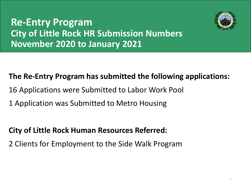

### **Re-Entry Program City of Little Rock HR Submission Numbers November 2020 to January 2021**

### **The Re-Entry Program has submitted the following applications:**

- 16 Applications were Submitted to Labor Work Pool
- 1 Application was Submitted to Metro Housing

### **City of Little Rock Human Resources Referred:**

2 Clients for Employment to the Side Walk Program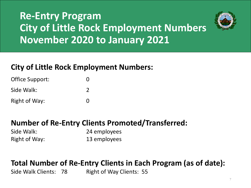# **Re-Entry Program City of Little Rock Employment Numbers November 2020 to January 2021**



### **City of Little Rock Employment Numbers:**

Office Support: 0 Side Walk: 2 Right of Way: 0

### **Number of Re-Entry Clients Promoted/Transferred:**

Side Walk: 24 employees Right of Way: 13 employees

### **Total Number of Re-Entry Clients in Each Program (as of date):**

Side Walk Clients: 78 Right of Way Clients: 55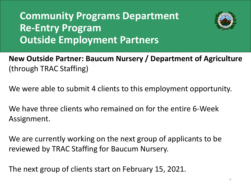# **Community Programs Department Re-Entry Program Outside Employment Partners**



**New Outside Partner: Baucum Nursery / Department of Agriculture** (through TRAC Staffing)

We were able to submit 4 clients to this employment opportunity.

We have three clients who remained on for the entire 6-Week Assignment.

We are currently working on the next group of applicants to be reviewed by TRAC Staffing for Baucum Nursery.

The next group of clients start on February 15, 2021.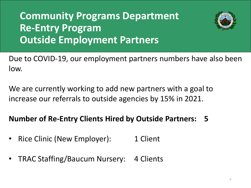# **Community Programs Department Re-Entry Program Outside Employment Partners**



Due to COVID-19, our employment partners numbers have also been low.

We are currently working to add new partners with a goal to increase our referrals to outside agencies by 15% in 2021.

### **Number of Re-Entry Clients Hired by Outside Partners: 5**

- Rice Clinic (New Employer): 1 Client
- TRAC Staffing/Baucum Nursery: 4 Clients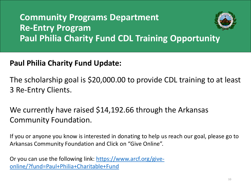## **Community Programs Department Re-Entry Program Paul Philia Charity Fund CDL Training Opportunity**

### **Paul Philia Charity Fund Update:**

The scholarship goal is \$20,000.00 to provide CDL training to at least 3 Re-Entry Clients.

We currently have raised \$14,192.66 through the Arkansas Community Foundation.

If you or anyone you know is interested in donating to help us reach our goal, please go to Arkansas Community Foundation and Click on "Give Online".

[Or you can use the following link: https://www.arcf.org/give](https://www.arcf.org/give-online/?fund=Paul+Philia+Charitable+Fund)online/?fund=Paul+Philia+Charitable+Fund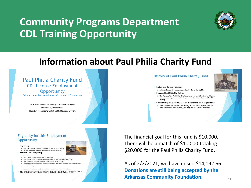# **Community Programs Department CDL Training Opportunity**



### **Information about Paul Philia Charity Fund**



#### Eligibility for this Employment Opportunity

- $\blacktriangleright$  Who is Eligible
- Dpen to all individuals, both men and women, who are residents of Arkansas > The grant is restricted to training at the Pine Bluff Trucking School Only
- Criteria for Those Seeking Funding
	- Age 21 or older Have a valid drivers license for at least the past 3 years
	- > Have no DUI or DWI or any other violation involving drugs or alcohol within the past 5 years
	- $\blacktriangleright$  Allow the granting committee to request any records concerning violations
	- > Agree to submit to the Department of Transportation (DOT) physical and drug tests which is required by the Pine Bluff Trucking School
	- $\blacktriangleright$  Cannot be on insuling
	- $\blacktriangleright$  Be either a U.S. citizen or legally be in permanent status in the U.S. and live in Arkarsas
- Must complete Career Crash Course offered by Department of Community Programs on October 12<sup>th</sup><br>thru 16<sup>th</sup> from 6:00 pm to 8:30 pm. Dinner will be served each day between sessions.





As of 2/2/2021, we have raised \$14,192.66. **Donations are still being accepted by the Arkansas Community Foundation.**